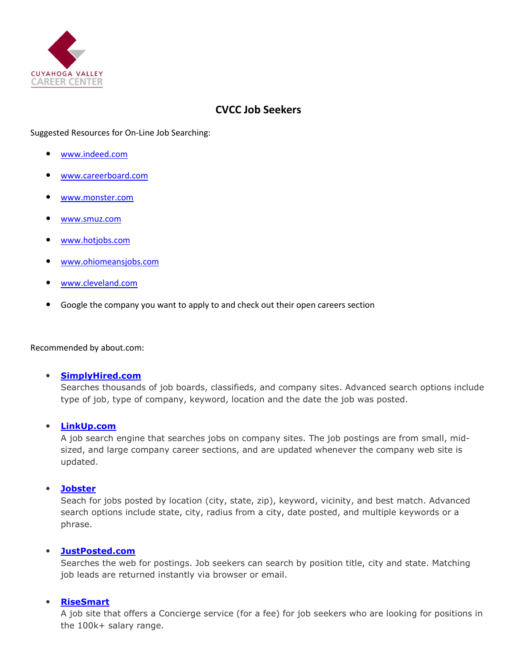

# **CVCC Job Seekers**

# Suggested Resources for On-Line Job Searching:

- [www.indeed.com](http://www.indeed.com/)
- [www.careerboard.com](http://www.careerboard.com/)
- [www.monster.com](http://www.monster.com/)
- [www.smuz.com](http://www.smuz.com/)
- [www.hotjobs.com](http://www.hotjobs.com/)
- [www.ohiomeansjobs.com](http://www.ohiomeansjobs.com/)
- [www.cleveland.com](http://www.cleveland.com/)
- Google the company you want to apply to and check out their open careers section

Recommended by about.com:

#### **[SimplyHired.com](http://jobsearch.about.com/od/jobsearchengines/qt/simplyhired.htm)**

Searches thousands of job boards, classifieds, and company sites. Advanced search options include type of job, type of company, keyword, location and the date the job was posted.

**[LinkUp.com](http://jobsearch.about.com/od/jobsearchengines/qt/linkup.htm)**

A job search engine that searches jobs on company sites. The job postings are from small, midsized, and large company career sections, and are updated whenever the company web site is updated.

### **[Jobster](http://www.jobster.com/)**

Seach for jobs posted by location (city, state, zip), keyword, vicinity, and best match. Advanced search options include state, city, radius from a city, date posted, and multiple keywords or a phrase.

### **[JustPosted.com](http://jobs.just-posted.com/)**

Searches the web for postings. Job seekers can search by position title, city and state. Matching job leads are returned instantly via browser or email.

# **[RiseSmart](http://jobsearch.about.com/od/jobsearchengines/qt/risesmart.htm)**

A job site that offers a Concierge service (for a fee) for job seekers who are looking for positions in the 100k+ salary range.